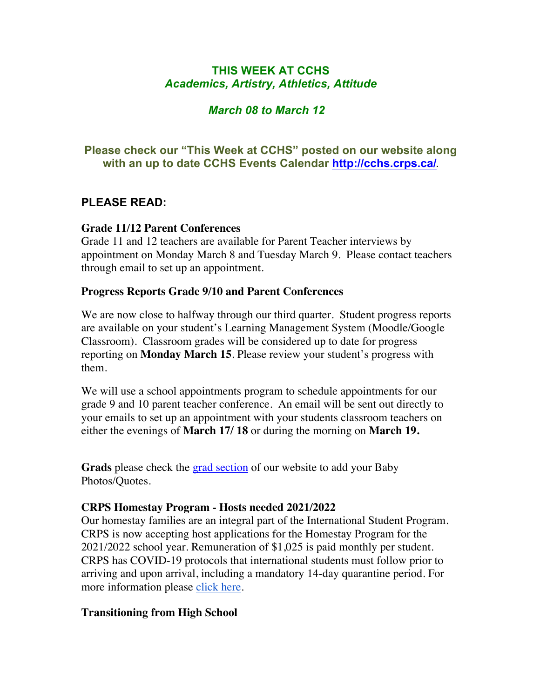# **THIS WEEK AT CCHS** *Academics, Artistry, Athletics, Attitude*

# *March 08 to March 12*

# **Please check our "This Week at CCHS" posted on our website along with an up to date CCHS Events Calendar<http://cchs.crps.ca/>**.

# **PLEASE READ:**

## **Grade 11/12 Parent Conferences**

Grade 11 and 12 teachers are available for Parent Teacher interviews by appointment on Monday March 8 and Tuesday March 9. Please contact teachers through email to set up an appointment.

## **Progress Reports Grade 9/10 and Parent Conferences**

We are now close to halfway through our third quarter. Student progress reports are available on your student's Learning Management System (Moodle/Google Classroom). Classroom grades will be considered up to date for progress reporting on **Monday March 15**. Please review your student's progress with them.

We will use a school appointments program to schedule appointments for our grade 9 and 10 parent teacher conference. An email will be sent out directly to your emails to set up an appointment with your students classroom teachers on either the evenings of **March 17/ 18** or during the morning on **March 19.**

**Grads** please check the [grad section](https://cchs.crps.ca/view.php?action=object&id=555&stream=Announcements) of our website to add your Baby Photos/Quotes.

## **CRPS Homestay Program - Hosts needed 2021/2022**

Our homestay families are an integral part of the International Student Program. CRPS is now accepting host applications for the Homestay Program for the 2021/2022 school year. Remuneration of \$1,025 is paid monthly per student. CRPS has COVID-19 protocols that international students must follow prior to arriving and upon arrival, including a mandatory 14-day quarantine period. For more information please [click here](https://crps.ca/Homestay Program.php).

## **Transitioning from High School**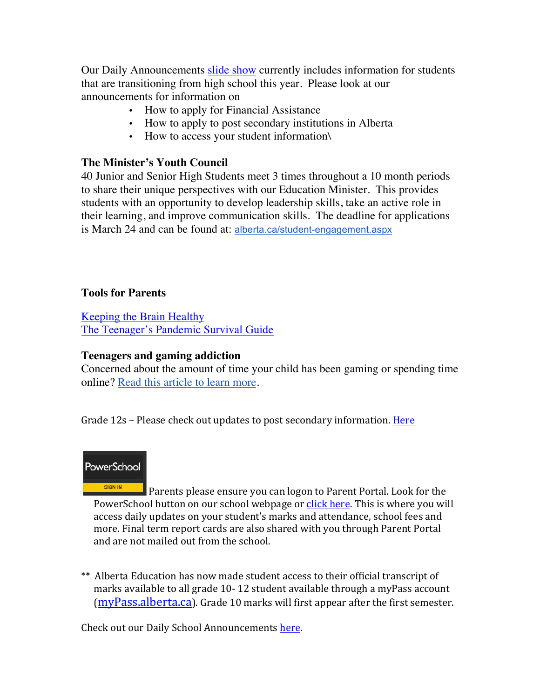Our Daily Announcements [slide show](https://docs.google.com/presentation/d/1eKIacynJnXoiOT2vNIyyWorRDtkcVp_c5pX052OGIN8/edit?usp=sharing) currently includes information for students that are transitioning from high school this year. Please look at our announcements for information on

- How to apply for Financial Assistance
- How to apply to post secondary institutions in Alberta
- How to access your student information\

#### **The Minister's Youth Council**

40 Junior and Senior High Students meet 3 times throughout a 10 month periods to share their unique perspectives with our Education Minister. This provides students with an opportunity to develop leadership skills, take an active role in their learning, and improve communication skills. The deadline for applications is March 24 and can be found at: [alberta.ca/student-engagement.aspx](https://www.alberta.ca/student-engagement.aspx)

#### **Tools for Parents**

[Keeping the Brain Healthy](https://cchs.crps.ca/documents/general/keeping the brain healthy_1.jpg) [The Teenager's Pandemic Survival Guide](https://cchs.crps.ca/documents/general/The Teenagers Pandemic Survival Guide_1.jpg)

#### **Teenagers and gaming addiction**

Concerned about the amount of time your child has been gaming or spending time online? [Read this article to learn more](https://docs.google.com/document/d/1Ox97B7KI-nSHRxPBq-b_8SErmtiuX6sM1NCVODxmpk8/edit?usp=sharing).

Grade 12s – Please check out updates to post secondary information. Here



SIGN IN Parents please ensure you can logon to Parent Portal. Look for the PowerSchool button on our school webpage or click here. This is where you will access daily updates on your student's marks and attendance, school fees and more. Final term report cards are also shared with you through Parent Portal and are not mailed out from the school.

\*\* Alberta Education has now made student access to their official transcript of marks available to all grade 10-12 student available through a myPass account  $(mvPass.alberta.ca)$ . Grade 10 marks will first appear after the first semester.

Check out our Daily School Announcements here.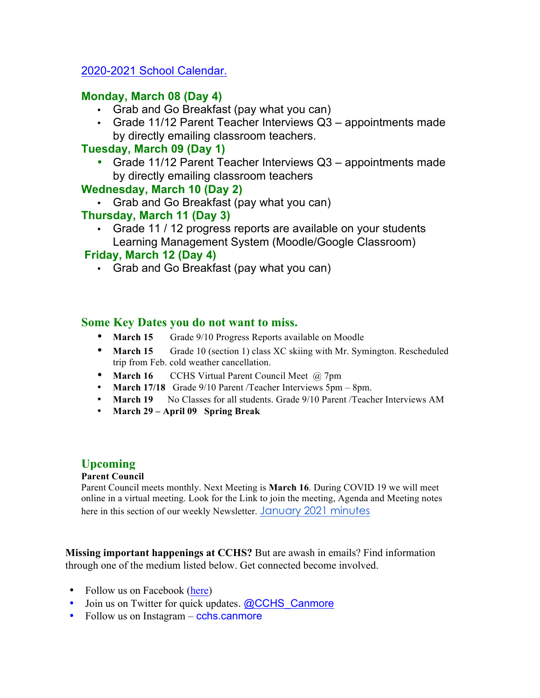## [2020-2021 School Calendar.](https://crps.ca/documents/general/Final 2020-2021 Learning Calendar.pdf)

## **Monday, March 08 (Day 4)**

- Grab and Go Breakfast (pay what you can)
- Grade 11/12 Parent Teacher Interviews Q3 appointments made by directly emailing classroom teachers.

# **Tuesday, March 09 (Day 1)**

• Grade 11/12 Parent Teacher Interviews Q3 – appointments made by directly emailing classroom teachers

## **Wednesday, March 10 (Day 2)**

• Grab and Go Breakfast (pay what you can)

## **Thursday, March 11 (Day 3)**

• Grade 11 / 12 progress reports are available on your students Learning Management System (Moodle/Google Classroom)

## **Friday, March 12 (Day 4)**

• Grab and Go Breakfast (pay what you can)

#### **Some Key Dates you do not want to miss.**

- **March 15** Grade 9/10 Progress Reports available on Moodle
- **March 15** Grade 10 (section 1) class XC skiing with Mr. Symington. Rescheduled trip from Feb. cold weather cancellation.
- **March 16** CCHS Virtual Parent Council Meet @ 7pm
- **March 17/18** Grade 9/10 Parent /Teacher Interviews 5pm 8pm.
- **March 19** No Classes for all students. Grade 9/10 Parent /Teacher Interviews AM
- **March 29 – April 09 Spring Break**

## **Upcoming**

#### **Parent Council**

Parent Council meets monthly. Next Meeting is **March 16**. During COVID 19 we will meet online in a virtual meeting. Look for the Link to join the meeting, Agenda and Meeting notes here in this section of our weekly Newsletter. [January 2021 minutes](https://docs.google.com/document/d/1S0WD_L2eJMPTt8OCzO13FEzbZz27M6kBkYHXb7l3LOE/edit?usp=sharing)

**Missing important happenings at CCHS?** But are awash in emails? Find information through one of the medium listed below. Get connected become involved.

- Follow us on Facebook ([here](https://www.facebook.com/cchscanmore/))
- Join us on Twitter for quick updates. [@CCHS\\_Canmore](https://twitter.com/CCHS_Canmore)
- Follow us on Instagram cchs.canmore